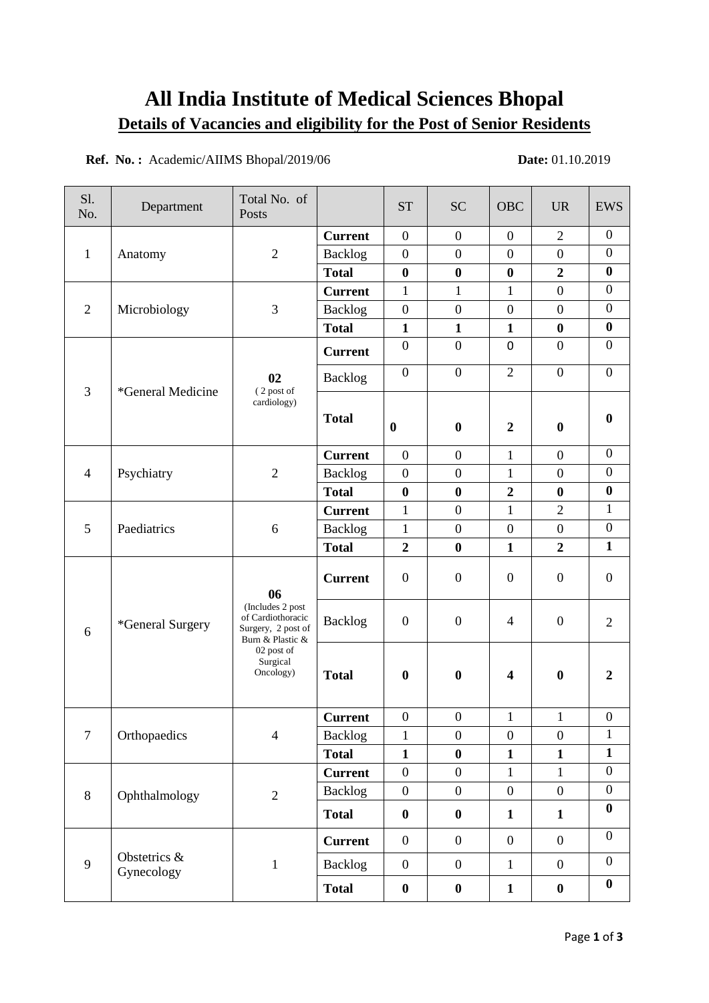# **All India Institute of Medical Sciences Bhopal Details of Vacancies and eligibility for the Post of Senior Residents**

**Ref. No.:** Academic/AIIMS Bhopal/2019/06 **Date: 01.10.2019** 

| S1.<br>No.     | Department                 | Total No. of<br>Posts                                                                                                        |                | <b>ST</b>        | <b>SC</b>        | <b>OBC</b>              | <b>UR</b>        | <b>EWS</b>       |
|----------------|----------------------------|------------------------------------------------------------------------------------------------------------------------------|----------------|------------------|------------------|-------------------------|------------------|------------------|
| $\mathbf{1}$   | Anatomy                    | $\sqrt{2}$                                                                                                                   | <b>Current</b> | $\boldsymbol{0}$ | $\mathbf{0}$     | $\overline{0}$          | $\overline{2}$   | $\overline{0}$   |
|                |                            |                                                                                                                              | <b>Backlog</b> | $\boldsymbol{0}$ | $\overline{0}$   | $\overline{0}$          | $\overline{0}$   | $\mathbf{0}$     |
|                |                            |                                                                                                                              | <b>Total</b>   | $\boldsymbol{0}$ | $\boldsymbol{0}$ | $\bf{0}$                | $\overline{2}$   | $\boldsymbol{0}$ |
| $\overline{2}$ | Microbiology               | 3                                                                                                                            | <b>Current</b> | $\mathbf{1}$     | $\mathbf{1}$     | $\mathbf{1}$            | $\boldsymbol{0}$ | $\overline{0}$   |
|                |                            |                                                                                                                              | Backlog        | $\boldsymbol{0}$ | $\boldsymbol{0}$ | $\mathbf{0}$            | $\boldsymbol{0}$ | $\boldsymbol{0}$ |
|                |                            |                                                                                                                              | <b>Total</b>   | $\mathbf{1}$     | $\mathbf{1}$     | $\mathbf{1}$            | $\bf{0}$         | $\boldsymbol{0}$ |
| $\overline{3}$ | *General Medicine          | 02<br>(2 post of<br>cardiology)                                                                                              | <b>Current</b> | $\overline{0}$   | $\boldsymbol{0}$ | $\mathbf 0$             | $\boldsymbol{0}$ | $\mathbf{0}$     |
|                |                            |                                                                                                                              | <b>Backlog</b> | $\mathbf{0}$     | $\overline{0}$   | $\overline{2}$          | $\boldsymbol{0}$ | $\boldsymbol{0}$ |
|                |                            |                                                                                                                              | <b>Total</b>   | $\bf{0}$         | $\bf{0}$         | $\boldsymbol{2}$        | $\bf{0}$         | $\bf{0}$         |
| $\overline{4}$ | Psychiatry                 | $\overline{2}$                                                                                                               | <b>Current</b> | $\overline{0}$   | $\boldsymbol{0}$ | $\mathbf{1}$            | $\boldsymbol{0}$ | $\mathbf{0}$     |
|                |                            |                                                                                                                              | <b>Backlog</b> | $\mathbf{0}$     | $\boldsymbol{0}$ | 1                       | $\boldsymbol{0}$ | $\boldsymbol{0}$ |
|                |                            |                                                                                                                              | <b>Total</b>   | $\bf{0}$         | $\bf{0}$         | $\overline{2}$          | $\bf{0}$         | $\boldsymbol{0}$ |
|                | Paediatrics                | 6                                                                                                                            | <b>Current</b> | $\mathbf{1}$     | $\boldsymbol{0}$ | $\mathbf{1}$            | $\overline{2}$   | 1                |
| 5              |                            |                                                                                                                              | <b>Backlog</b> | $\mathbf{1}$     | $\boldsymbol{0}$ | $\overline{0}$          | $\boldsymbol{0}$ | $\boldsymbol{0}$ |
|                |                            |                                                                                                                              | <b>Total</b>   | $\overline{2}$   | $\bf{0}$         | $\mathbf{1}$            | $\overline{2}$   | $\mathbf{1}$     |
| 6              | *General Surgery           | 06<br>(Includes 2 post<br>of Cardiothoracic<br>Surgery, 2 post of<br>Burn & Plastic &<br>02 post of<br>Surgical<br>Oncology) | <b>Current</b> | $\boldsymbol{0}$ | $\boldsymbol{0}$ | $\boldsymbol{0}$        | $\boldsymbol{0}$ | $\mathbf{0}$     |
|                |                            |                                                                                                                              | <b>Backlog</b> | $\boldsymbol{0}$ | $\boldsymbol{0}$ | $\overline{4}$          | $\boldsymbol{0}$ | $\overline{2}$   |
|                |                            |                                                                                                                              | <b>Total</b>   | $\bf{0}$         | $\boldsymbol{0}$ | $\overline{\mathbf{4}}$ | $\bf{0}$         | $\overline{2}$   |
| $\overline{7}$ | Orthopaedics               | $\overline{4}$                                                                                                               | <b>Current</b> | $\mathbf{0}$     | $\overline{0}$   | 1                       | 1                | $\overline{0}$   |
|                |                            |                                                                                                                              | Backlog        | $\mathbf{1}$     | $\overline{0}$   | $\mathbf{0}$            | $\overline{0}$   | $\mathbf{1}$     |
|                |                            |                                                                                                                              | <b>Total</b>   | $\mathbf{1}$     | $\boldsymbol{0}$ | $\mathbf{1}$            | $\mathbf{1}$     | $\mathbf{1}$     |
| $\,8\,$        | Ophthalmology              | $\overline{2}$                                                                                                               | <b>Current</b> | $\boldsymbol{0}$ | $\boldsymbol{0}$ | $\mathbf{1}$            | $\mathbf{1}$     | $\boldsymbol{0}$ |
|                |                            |                                                                                                                              | <b>Backlog</b> | $\boldsymbol{0}$ | $\boldsymbol{0}$ | $\boldsymbol{0}$        | $\boldsymbol{0}$ | $\boldsymbol{0}$ |
|                |                            |                                                                                                                              | <b>Total</b>   | $\boldsymbol{0}$ | $\boldsymbol{0}$ | $\mathbf{1}$            | $\mathbf{1}$     | $\boldsymbol{0}$ |
| 9              | Obstetrics &<br>Gynecology | $\mathbf 1$                                                                                                                  | <b>Current</b> | $\boldsymbol{0}$ | $\overline{0}$   | $\boldsymbol{0}$        | $\boldsymbol{0}$ | $\boldsymbol{0}$ |
|                |                            |                                                                                                                              | <b>Backlog</b> | $\mathbf{0}$     | $\overline{0}$   | $\mathbf{1}$            | $\boldsymbol{0}$ | $\boldsymbol{0}$ |
|                |                            |                                                                                                                              | <b>Total</b>   | $\pmb{0}$        | $\boldsymbol{0}$ | $\mathbf{1}$            | $\boldsymbol{0}$ | $\bf{0}$         |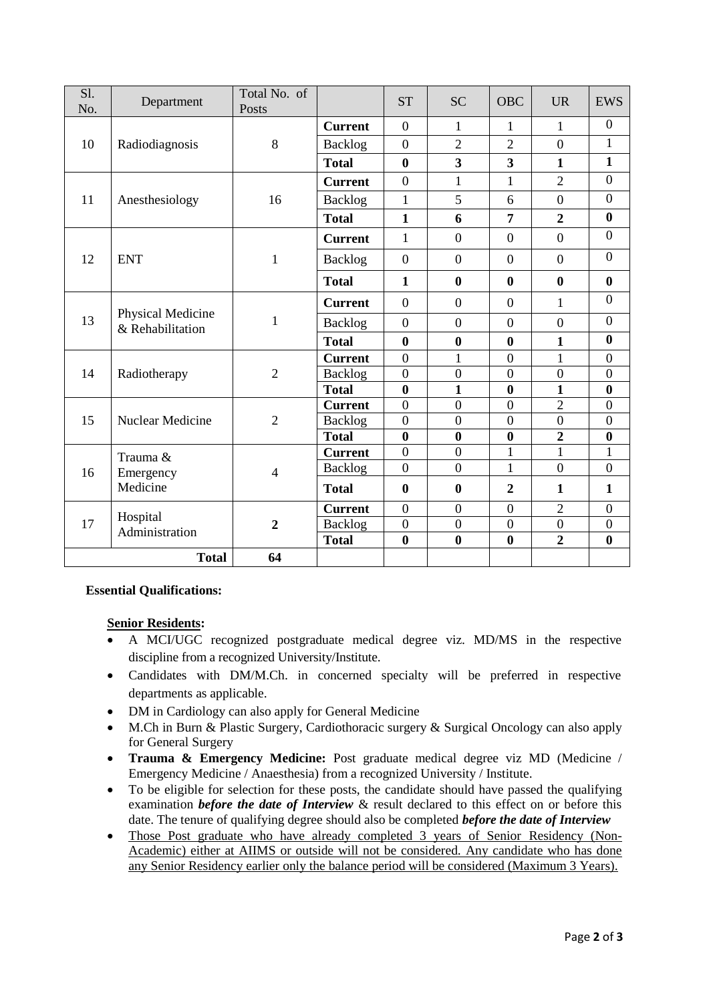| Sl.<br>No. | Department                            | Total No. of<br>Posts |                | <b>ST</b>        | <b>SC</b>               | <b>OBC</b>              | <b>UR</b>        | <b>EWS</b>       |
|------------|---------------------------------------|-----------------------|----------------|------------------|-------------------------|-------------------------|------------------|------------------|
| 10         | Radiodiagnosis                        | 8                     | <b>Current</b> | $\overline{0}$   | 1                       | $\mathbf{1}$            | $\mathbf{1}$     | $\boldsymbol{0}$ |
|            |                                       |                       | <b>Backlog</b> | $\overline{0}$   | $\overline{2}$          | $\overline{2}$          | $\overline{0}$   | $\mathbf{1}$     |
|            |                                       |                       | <b>Total</b>   | $\bf{0}$         | $\overline{\mathbf{3}}$ | $\overline{\mathbf{3}}$ | $\mathbf{1}$     | $\mathbf{1}$     |
| 11         | Anesthesiology                        | 16                    | <b>Current</b> | $\theta$         | 1                       | $\mathbf{1}$            | $\overline{2}$   | $\overline{0}$   |
|            |                                       |                       | Backlog        | $\mathbf{1}$     | 5                       | 6                       | $\boldsymbol{0}$ | $\boldsymbol{0}$ |
|            |                                       |                       | <b>Total</b>   | $\mathbf{1}$     | 6                       | $\overline{7}$          | $\overline{2}$   | $\boldsymbol{0}$ |
| 12         | <b>ENT</b>                            | 1                     | <b>Current</b> | $\mathbf{1}$     | $\overline{0}$          | $\overline{0}$          | $\boldsymbol{0}$ | $\boldsymbol{0}$ |
|            |                                       |                       | Backlog        | $\overline{0}$   | $\overline{0}$          | $\overline{0}$          | $\boldsymbol{0}$ | $\overline{0}$   |
|            |                                       |                       | <b>Total</b>   | $\mathbf{1}$     | $\bf{0}$                | $\bf{0}$                | $\bf{0}$         | $\boldsymbol{0}$ |
| 13         | Physical Medicine<br>& Rehabilitation | 1                     | <b>Current</b> | $\overline{0}$   | $\boldsymbol{0}$        | $\overline{0}$          | $\mathbf{1}$     | $\overline{0}$   |
|            |                                       |                       | Backlog        | $\overline{0}$   | $\overline{0}$          | $\overline{0}$          | $\boldsymbol{0}$ | $\boldsymbol{0}$ |
|            |                                       |                       | <b>Total</b>   | $\bf{0}$         | $\bf{0}$                | $\mathbf{0}$            | $\mathbf{1}$     | $\boldsymbol{0}$ |
| 14         | Radiotherapy                          | $\overline{2}$        | <b>Current</b> | $\overline{0}$   | $\mathbf{1}$            | $\overline{0}$          | 1                | $\boldsymbol{0}$ |
|            |                                       |                       | Backlog        | $\overline{0}$   | $\overline{0}$          | $\overline{0}$          | $\boldsymbol{0}$ | $\boldsymbol{0}$ |
|            |                                       |                       | <b>Total</b>   | $\bf{0}$         | $\mathbf{1}$            | $\bf{0}$                | $\mathbf{1}$     | $\bf{0}$         |
| 15         | Nuclear Medicine                      | $\overline{2}$        | <b>Current</b> | $\overline{0}$   | $\boldsymbol{0}$        | $\overline{0}$          | $\overline{2}$   | $\boldsymbol{0}$ |
|            |                                       |                       | Backlog        | $\overline{0}$   | $\overline{0}$          | $\boldsymbol{0}$        | $\boldsymbol{0}$ | $\boldsymbol{0}$ |
|            |                                       |                       | <b>Total</b>   | $\bf{0}$         | $\bf{0}$                | $\boldsymbol{0}$        | $\overline{2}$   | $\boldsymbol{0}$ |
| 16         | Trauma &<br>Emergency<br>Medicine     | $\overline{4}$        | <b>Current</b> | $\theta$         | $\overline{0}$          | $\mathbf{1}$            | $\mathbf{1}$     | $\mathbf{1}$     |
|            |                                       |                       | Backlog        | $\overline{0}$   | $\boldsymbol{0}$        | $\mathbf{1}$            | $\boldsymbol{0}$ | $\boldsymbol{0}$ |
|            |                                       |                       | <b>Total</b>   | $\bf{0}$         | $\boldsymbol{0}$        | $\overline{2}$          | $\mathbf{1}$     | $\mathbf{1}$     |
| 17         | Hospital<br>Administration            | $\boldsymbol{2}$      | <b>Current</b> | $\overline{0}$   | $\overline{0}$          | $\boldsymbol{0}$        | $\overline{2}$   | $\boldsymbol{0}$ |
|            |                                       |                       | Backlog        | $\boldsymbol{0}$ | $\boldsymbol{0}$        | $\boldsymbol{0}$        | $\boldsymbol{0}$ | $\boldsymbol{0}$ |
|            |                                       |                       | <b>Total</b>   | $\bf{0}$         | $\bf{0}$                | $\bf{0}$                | $\overline{2}$   | $\boldsymbol{0}$ |
|            | <b>Total</b>                          | 64                    |                |                  |                         |                         |                  |                  |

## **Essential Qualifications:**

## **Senior Residents:**

- A MCI/UGC recognized postgraduate medical degree viz. MD/MS in the respective discipline from a recognized University/Institute.
- Candidates with DM/M.Ch. in concerned specialty will be preferred in respective departments as applicable.
- DM in Cardiology can also apply for General Medicine
- M.Ch in Burn & Plastic Surgery, Cardiothoracic surgery & Surgical Oncology can also apply for General Surgery
- **Trauma & Emergency Medicine:** Post graduate medical degree viz MD (Medicine / Emergency Medicine / Anaesthesia) from a recognized University / Institute.
- To be eligible for selection for these posts, the candidate should have passed the qualifying examination *before the date of Interview* & result declared to this effect on or before this date. The tenure of qualifying degree should also be completed *before the date of Interview*
- Those Post graduate who have already completed 3 years of Senior Residency (Non-Academic) either at AIIMS or outside will not be considered. Any candidate who has done any Senior Residency earlier only the balance period will be considered (Maximum 3 Years).